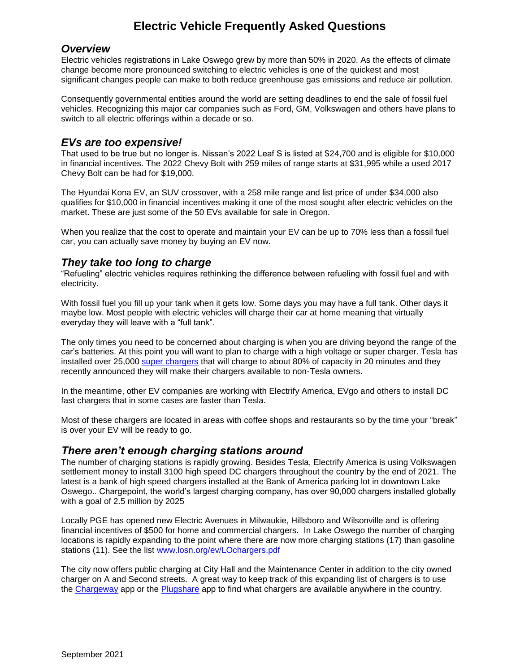# **Electric Vehicle Frequently Asked Questions**

#### *Overview*

Electric vehicles registrations in Lake Oswego grew by more than 50% in 2020. As the effects of climate change become more pronounced switching to electric vehicles is one of the quickest and most significant changes people can make to both reduce greenhouse gas emissions and reduce air pollution.

Consequently governmental entities around the world are setting deadlines to end the sale of fossil fuel vehicles. Recognizing this major car companies such as Ford, GM, Volkswagen and others have plans to switch to all electric offerings within a decade or so.

#### *EVs are too expensive!*

That used to be true but no longer is. Nissan's 2022 Leaf S is listed at \$24,700 and is eligible for \$10,000 in financial incentives. The 2022 Chevy Bolt with 259 miles of range starts at \$31,995 while a used 2017 Chevy Bolt can be had for \$19,000.

The Hyundai Kona EV, an SUV crossover, with a 258 mile range and list price of under \$34,000 also qualifies for \$10,000 in financial incentives making it one of the most sought after electric vehicles on the market. These are just some of the 50 EVs available for sale in Oregon.

When you realize that the cost to operate and maintain your EV can be up to 70% less than a fossil fuel car, you can actually save money by buying an EV now.

## *They take too long to charge*

"Refueling" electric vehicles requires rethinking the difference between refueling with fossil fuel and with electricity.

With fossil fuel you fill up your tank when it gets low. Some days you may have a full tank. Other days it maybe low. Most people with electric vehicles will charge their car at home meaning that virtually everyday they will leave with a "full tank".

The only times you need to be concerned about charging is when you are driving beyond the range of the car's batteries. At this point you will want to plan to charge with a high voltage or super charger. Tesla has installed over 25,000 [super chargers](https://www.tesla.com/supercharger) that will charge to about 80% of capacity in 20 minutes and they recently announced they will make their chargers available to non-Tesla owners.

In the meantime, other EV companies are working with Electrify America, EVgo and others to install DC fast chargers that in some cases are faster than Tesla.

Most of these chargers are located in areas with coffee shops and restaurants so by the time your "break" is over your EV will be ready to go.

## *There aren't enough charging stations around*

The number of charging stations is rapidly growing. Besides Tesla, Electrify America is using Volkswagen settlement money to install 3100 high speed DC chargers throughout the country by the end of 2021. The latest is a bank of high speed chargers installed at the Bank of America parking lot in downtown Lake Oswego.. Chargepoint, the world's largest charging company, has over 90,000 chargers installed globally with a goal of 2.5 million by 2025

Locally PGE has opened new Electric Avenues in Milwaukie, Hillsboro and Wilsonville and is offering financial incentives of \$500 for home and commercial chargers. In Lake Oswego the number of charging locations is rapidly expanding to the point where there are now more charging stations (17) than gasoline stations (11). See the list [www.losn.org/ev/LOchargers.pdf](http://www.losn.org/ev/LOchargers.pdf)

The city now offers public charging at City Hall and the Maintenance Center in addition to the city owned charger on A and Second streets. A great way to keep track of this expanding list of chargers is to use the [Chargeway](http://www.chargeway.net/easy-to-use/) app or the [Plugshare](https://company.plugshare.com/products/drivers/) app to find what chargers are available anywhere in the country.